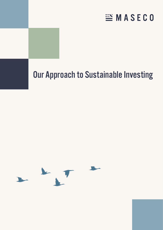# **EMASECO**

# Our Approach to Sustainable Investing

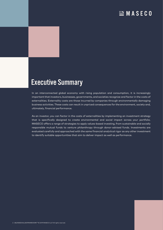### **ENASECO**

# Executive Summary

In an interconnected global economy with rising population and consumption, it is increasingly important that investors, businesses, governments, and societies recognize and factor in the costs of externalities. Externality costs are those incurred by companies through environmentally damaging business activities. These costs can result in unpriced consequences for the environment, society and, ultimately, financial performance.

As an investor, you can factor in the costs of externalities by implementing an investment strategy that is specifically designed to create environmental and social impact across your portfolio. MASECO offers a range of strategies to apply values-based investing, from sustainable and socially responsible mutual funds to venture philanthropy through donor-advised funds. Investments are evaluated carefully and approached with the same financial analytical rigor as any other investment to identify suitable opportunities that aim to deliver impact as well as performance.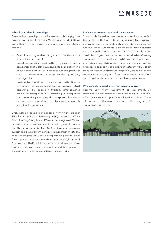# $\mathbb{E}$  MASECO

#### **What is sustainable investing?**

Sustainable investing as an investment philosophy has evolved over several decades. While concrete definitions are difficult to pin down, there are three identifiable strands:

- Ethical investing identifying companies that share your values and morals.
- Socially responsible investing (SRI) typically avoiding companies that violate human rights or social criteria and/or that produce or distribute specific products such as armaments, tobacco, alcohol, gambling, pornography.
- Sustainable investing focuses more attention on environmental issues, social and governance (ESG) screening. This approach typically amalgamates ethical investing with SRI, investing in companies that are actively changing their corporate behaviour and products or services to achieve environmentally sustainable outcomes.

Sustainable investing is one approach within the broader Socially Responsible Investing (SRI) universe. While "sustainability" may have different meanings to different people, the term is often associated with general concern for the environment. The United Nations describes sustainable development as "development that meets the needs of the present without compromising the ability of future generations to meet their own needs"(Bruntland Commission, 1987). With this in mind, business practices that exhaust resources or cause irreversible changes to the earth's climate are considered unsustainable.

#### **Business rationale sustainable investment**

Sustainable investing uses markets to reallocate capital to companies that are integrating responsible corporate behaviour and sustainable outcomes into their business and industries. Capitalism is an efficient way to allocate resources and wealth. It is the idea that capitalism can maximize long-term economic value creation by reforming markets to address real needs while considering all costs and integrating ESG metrics into the decision-making process. It applies to the entire investment value chain from entrepreneurial ventures to publicly traded large cap companies. Investing with future generations in mind will help transition economies to sustainable substitutes.

#### **What should I expect the investment to deliver?**

Returns vary from investment to investment. All sustainable investments are not created equal. MASECO offers a sustainable portfolio allocation utilising funds with at least a five-year track record displaying historic market rates of return.

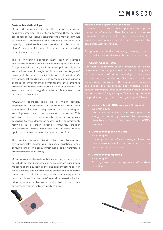#### **Sustainable Methodology**

Many SRI approaches involve the use of positive or negative screening. The criteria forming these screens are based on subjective standards that may be difficult to measure. Additionally, the screening methods are typically applied to business practices in absolute (or binary) terms, which result in a company stock being either included or excluded.

This all-or-nothing approach may result in reduced diversification and a smaller investment opportunity set. Companies with strong environmental policies might be excluded because of a single detail, or an entire category of firms might be deemed ineligible because of an industry's environmental reputation. Since companies have varying degrees of environmental commitment, their business practices are better characterised along a spectrum. An investment methodology that reflects this spectrum may better serve investors.

MASECO's approach looks at all major sectors, emphasising investment in companies with high environmental sustainability scores and minimising or excluding investment in companies with low scores. This inclusive approach progressively weights companies according to their degree of sustainability commitment, resulting in a larger investible universe, broader diversification across industries and a more robust application of environmental values in a portfolio.

The combined approach gives investors a way to reinforce environmentally sustainable business practices while pursuing their long-term investment goals through a broadly diversified strategy.

Many approaches to sustainability investing either exclude or include certain businesses or entire sectors based on a measure of their sustainability. The price investors pay for these absolute and binary screens creates a bias towards certain sectors of the market, which may or may not be rewarded. Investors are therefore entitled to ask whether adopting a sustainable investment philosophy enhances or detracts from investment performance.



#### **Making a market portfolio sustainable**

It starts with a core market portfolio to capture companies that have high ratings for sustainability companies with low ratings.

Companies are broadly rated using three key criteria,

#### **• Climate Change - 30%**

Considers a company's carbon emissions per dollar and transparency of carbon reporting by companies organisation that works with companies to measure considers a company's use or production of clean energy

**i. Carbon intensity (CO2 emissions/\$revenue)** Own emissions and emissions from purchased given to non-Carbon Disclosure Project (CDP)

### **ii. Climate change solution users**

#### **iii. Climate change reporting**

Weighting 5%

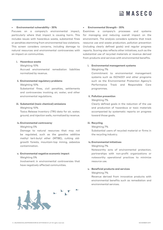#### **• Environmental vulnerability - 35%**

Focuses on a company's environmental impact, particularly where that impact is causing harm. This includes issues with hazardous waste, substantial fines or penalties stemming from environmental law violations. This screen considers concerns, including damage to natural resources and environmental controversies with an impact on communities.

#### **i. Hazardous waste**

#### Weighting 10%

Accrued environmental remediation liabilities normalized by revenue.

#### **ii. Environmental regulatory problems**

#### Weighting 10%

Substantial fines, civil penalties, settlements and controversies involving air, water, and other environmental regulations.

#### **iii. Substantial (toxic chemical) emissions**

Weighting 10%

Toxics Release Inventory (TRI) data for air, water, ground, and injection wells, normalized by revenue.

#### **iv. Environmental controversy**

#### Weighting 5%

Damage to natural resources that may not be regulated, such as the gasoline additive methyl tert-butyl ether (MTBE), cutting oldgrowth forests, mountain-top mining, asbestos contamination.

#### **v. Environmental negative economic impact**

#### Weighting 5%

Involvement in environmental controversies that have negatively affected communities.

#### **• Environmental Strength - 35%**

Examines a company's processes and systems for managing and reducing overall impact on the environment. The analysis considers systems that track resource use and waste production, pollution prevention (including clearly defined goals) and regular progress reports. Scoring also reflects other initiatives, such as the substantial use of recycled materials or revenue derived from products and services with environmental benefits.

#### **i. Environmental management systems**

#### Weighting 7%

Commitment to environmental management systems such as ISO14001 and other programs such as the Environmental Protection Agency's Performance Track and Responsible Care programmes.

#### **ii. Pollution prevention**

#### Weighting 7%

Clearly defined goals in the reduction of the use and production of hazardous or toxic materials accompanied by systematic reports on progress toward those goals.

#### **iii. Recycling**

#### Weighting 7%

Substantial users of recycled material or firms in the recycling industry.

#### **iv. Environmental initiatives**

#### Weighting 7%

Noteworthy acts of environmental protection, partnerships with non-profit organizations or noteworthy operational practices to minimize resource use.

#### **v. Beneficial products and services**

#### Weighting 7%

Revenue derived from innovative products with environmental benefits such as remediation and environmental services.

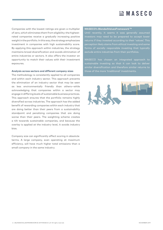# $\mathbb{E}$  MASECO

Companies with the lowest ratings are given a multiplier of zero, which eliminates them from eligibility; the highestrated companies receive a gradually increasing positive weight in the portfolio. In this way, the strategy emphasizes investment in companies with high sustainability score. By applying this approach within industries, the strategy maintains broad diversification and avoids elimination of entire industries or sectors. It also offers the investor an opportunity to match their values with their investment exposures.

#### **Analysis across sectors and different company sizes**

The methodology is consistently applied to all companies and within each industry sector. This approach prevents the elimination of an industry sector that may be seen as less environmentally friendly than others—while acknowledging that companies within a sector may engage in differing levels of sustainable business practices. This approach ensures that the portfolio remains highly diversified across industries. The approach has the added benefit of rewarding companies within each industry that are doing better than their peers from a sustainability standpoint and penalizing companies that are doing worse than their peers. The weighting scheme creates a tilt towards sustainable companies, and because the overlay is applied at the industry level, it avoids industry bias.

Company size can significantly affect scoring in absolute terms. A large company, even operating at maximum efficiency, will have much higher total emissions than a small company in the same industry.

#### **MASECO's BlendedValuesFramework TM**

Until recently, it seems it was generally assumed investors may need to be prepared to accept lower returns if they invested according to their 'values'. This perception likely stems from ethical investing and some forms of socially responsible investing that typically

MASECO has chosen an integrated approach to those of the more 'traditional' investments.